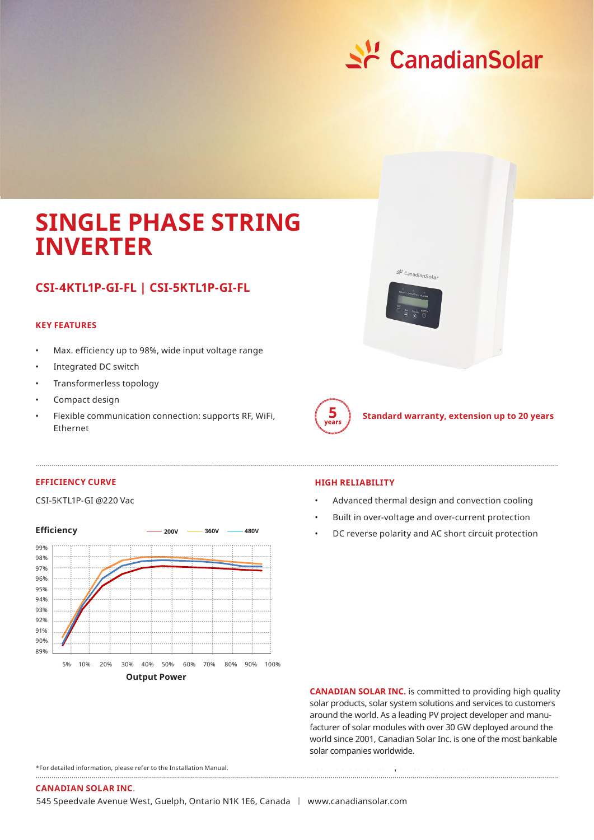

# **SINGLE PHASE STRING INVERTER**

## **CSI-4KTL1P-GI-FL | CSI-5KTL1P-GI-FL**

### **KEY FEATURES**

- Max. efficiency up to 98%, wide input voltage range
- Integrated DC switch
- Transformerless topology
- Compact design
- Flexible communication connection: supports RF, WiFi, Ethernet





**Standard warranty, extension up to 20 years**

#### **EFFICIENCY CURVE**

#### CSI-5KTL1P-GI @220 Vac



#### **HIGH RELIABILITY**

- Advanced thermal design and convection cooling
- Built in over-voltage and over-current protection
- DC reverse polarity and AC short circuit protection

**CANADIAN SOLAR INC.** is committed to providing high quality solar products, solar system solutions and services to customers around the world. As a leading PV project developer and manufacturer of solar modules with over 30 GW deployed around the world since 2001, Canadian Solar Inc. is one of the most bankable solar companies worldwide.

bankable solar companies worldwide.

\*For detailed information, please refer to the Installation Manual.